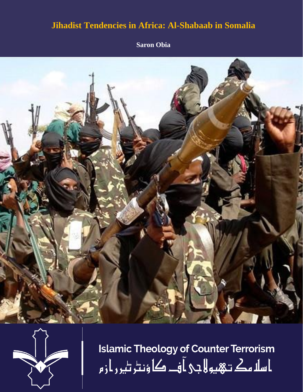# **Jihadist Tendencies in Africa: Al-Shabaab in Somalia**

**Saron Obia**





**Islamic Theology of Counter Terrorism** ا سلا مك تـهيو لا جي آ فــ کا ؤنٹر ٹير ر از م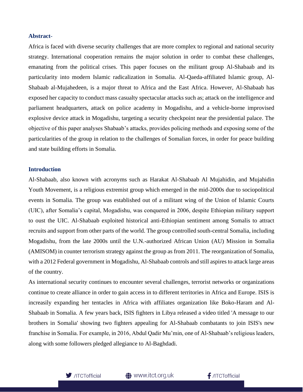# **Abstract**-

Africa is faced with diverse security challenges that are more complex to regional and national security strategy. International cooperation remains the major solution in order to combat these challenges, emanating from the political crises. This paper focuses on the militant group Al-Shabaab and its particularity into modern Islamic radicalization in Somalia. Al-Qaeda-affiliated Islamic group, Al-Shabaab al-Mujahedeen, is a major threat to Africa and the East Africa. However, Al-Shabaab has exposed her capacity to conduct mass casualty spectacular attacks such as; attack on the intelligence and parliament headquarters, attack on police academy in Mogadishu, and a vehicle-borne improvised explosive device attack in Mogadishu, targeting a security checkpoint near the presidential palace. The objective of this paper analyses Shabaab's attacks, provides policing methods and exposing some of the particularities of the group in relation to the challenges of Somalian forces, in order for peace building and state building efforts in Somalia.

## **Introduction**

Al-Shabaab, also known with acronyms such as Harakat Al-Shabaab Al Mujahidin, and Mujahidin Youth Movement, is a religious extremist group which emerged in the mid-2000s due to sociopolitical events in Somalia. The group was established out of a militant wing of the Union of Islamic Courts (UIC), after Somalia's capital, Mogadishu, was conquered in 2006, despite Ethiopian military support to oust the UIC. Al-Shabaab exploited historical anti-Ethiopian sentiment among Somalis to attract recruits and support from other parts of the world. The group controlled south-central Somalia, including Mogadishu, from the late 2000s until the U.N.-authorized African Union (AU) Mission in Somalia (AMISOM) in counter terrorism strategy against the group as from 2011. The reorganization of Somalia, with a 2012 Federal government in Mogadishu, Al-Shabaab controls and still aspires to attack large areas of the country.

As international security continues to encounter several challenges, terrorist networks or organizations continue to create alliance in order to gain access in to different territories in Africa and Europe. ISIS is increasily expanding her tentacles in Africa with affiliates organization like Boko-Haram and Al-Shabaab in Somalia. A few years back, ISIS fighters in Libya released a video titled 'A message to our brothers in Somalia' showing two fighters appealing for Al-Shabaab combatants to join ISIS's new franchise in Somalia. For example, in 2016, Abdul Qadir Mu'min, one of Al-Shabaab's religious leaders, along with some followers pledged allegiance to Al-Baghdadi.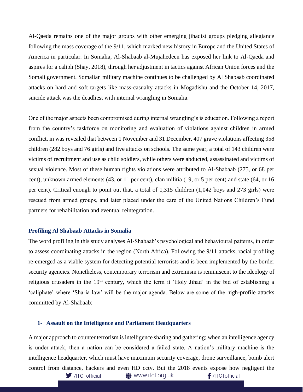Al-Qaeda remains one of the major groups with other emerging jihadist groups pledging allegiance following the mass coverage of the 9/11, which marked new history in Europe and the United States of America in particular. In Somalia, Al-Shabaab al-Mujahedeen has exposed her link to Al-Qaeda and aspires for a caliph (Shay, 2018), through her adjustment in tactics against African Union forces and the Somali government. Somalian military machine continues to be challenged by Al Shabaab coordinated attacks on hard and soft targets like mass-casualty attacks in Mogadishu and the October 14, 2017, suicide attack was the deadliest with internal wrangling in Somalia.

One of the major aspects been compromised during internal wrangling's is education. Following a report from the country's taskforce on monitoring and evaluation of violations against children in armed conflict, in was revealed that between 1 November and 31 December, 407 grave violations affecting 358 children (282 boys and 76 girls) and five attacks on schools. The same year, a total of 143 children were victims of recruitment and use as child soldiers, while others were abducted, assassinated and victims of sexual violence. Most of these human rights violations were attributed to Al-Shabaab (275, or 68 per cent), unknown armed elements (43, or 11 per cent), clan militia (19, or 5 per cent) and state (64, or 16 per cent). Critical enough to point out that, a total of 1,315 children (1,042 boys and 273 girls) were rescued from armed groups, and later placed under the care of the United Nations Children's Fund partners for rehabilitation and eventual reintegration.

#### **Profiling Al Shabaab Attacks in Somalia**

The word profiling in this study analyses Al-Shabaab's psychological and behavioural patterns, in order to assess coordinating attacks in the region (North Africa). Following the 9/11 attacks, racial profiling re-emerged as a viable system for detecting potential terrorists and is been implemented by the border security agencies. Nonetheless, contemporary terrorism and extremism is reminiscent to the ideology of religious crusaders in the 19<sup>th</sup> century, which the term it 'Holy Jihad' in the bid of establishing a 'caliphate' where 'Sharia law' will be the major agenda. Below are some of the high-profile attacks committed by Al-Shabaab:

#### **1- Assault on the Intelligence and Parliament Headquarters**

A major approach to counter terrorism is intelligence sharing and gathering; when an intelligence agency is under attack, then a nation can be considered a failed state. A nation's military machine is the intelligence headquarter, which must have maximum security coverage, drone surveillance, bomb alert control from distance, hackers and even HD cctv. But the 2018 events expose how negligent the f /ITCTofficial  $\blacksquare$ /ITCTofficial **<sup>4</sup>** www.itct.org.uk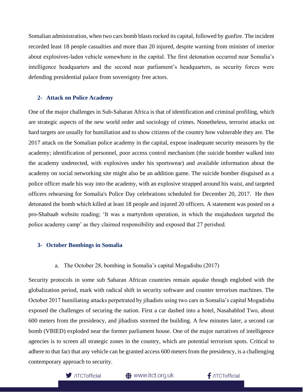Somalian administration, when two cars bomb blasts rocked its capital, followed by gunfire. The incident recorded least 18 people casualties and more than 20 injured, despite warning from minister of interior about explosives-laden vehicle somewhere in the capital. The first detonation occurred near Somalia's intelligence headquarters and the second near parliament's headquarters, as security forces were defending presidential palace from sovereignty free actors.

# **2- Attack on Police Academy**

One of the major challenges in Sub-Saharan Africa is that of identification and criminal profiling, which are strategic aspects of the new world order and sociology of crimes. Nonetheless, terrorist attacks on hard targets are usually for humiliation and to show citizens of the country how vulnerable they are. The 2017 attack on the Somalian police academy in the capital, expose inadequate security measures by the academy; identification of personnel, poor access control mechanism (the suicide bomber walked into the academy undetected, with explosives under his sportswear) and available information about the academy on social networking site might also be an addition game. The suicide bomber disguised as a police officer made his way into the academy, with an explosive strapped around his waist, and targeted officers rehearsing for Somalia's Police Day celebrations scheduled for December 20, 2017. He then detonated the bomb which killed at least 18 people and injured 20 officers. A statement was posted on a pro-Shabaab website reading; 'It was a martyrdom operation, in which the mujahedeen targeted the police academy camp' as they claimed responsibility and exposed that 27 perished.

## **3- October Bombings in Somalia**

## a. The October 28, bombing in Somalia's capital Mogadishu (2017)

Security protocols in some sub Saharan African countries remain aquake though englobed with the globalization period, mark with radical shift in security software and counter terrorism machines. The October 2017 humiliating attacks perpetrated by jihadists using two cars in Somalia's capital Mogadishu exposed the challenges of securing the nation. First a car dashed into a hotel, Nasahablod Two, about 600 meters from the presidency, and jihadists stormed the building. A few minutes later, a second car bomb (VBIED) exploded near the former parliament house. One of the major narratives of intelligence agencies is to screen all strategic zones in the country, which are potential terrorism spots. Critical to adhere to that fact that any vehicle can be granted access 600 meters from the presidency, is a challenging contemporary approach to security.



**●** www.itct.org.uk

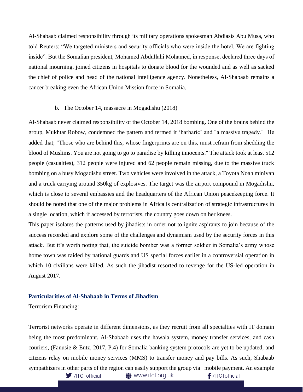Al-Shabaab claimed responsibility through its military operations spokesman Abdiasis Abu Musa, who told Reuters: "We targeted ministers and security officials who were inside the hotel. We are fighting inside". But the Somalian president, Mohamed Abdullahi Mohamed, in response, declared three days of national mourning, joined citizens in hospitals to donate blood for the wounded and as well as sacked the chief of police and head of the national intelligence agency. Nonetheless, Al-Shabaab remains a cancer breaking even the African Union Mission force in Somalia.

#### b. The October 14, massacre in Mogadishu (2018)

Al-Shabaab never claimed responsibility of the October 14, 2018 bombing. One of the brains behind the group, Mukhtar Robow, condemned the pattern and termed it 'barbaric' and "a massive tragedy." He added that; "Those who are behind this, whose fingerprints are on this, must refrain from shedding the blood of Muslims. You are not going to go to paradise by killing innocents." The attack took at least 512 people (casualties), 312 people were injured and 62 people remain missing, due to the massive truck bombing on a busy Mogadishu street. Two vehicles were involved in the attack, a Toyota Noah minivan and a truck carrying around 350kg of explosives. The target was the airport compound in Mogadishu, which is close to several embassies and the headquarters of the African Union peacekeeping force. It should be noted that one of the major problems in Africa is centralization of strategic infrastructures in a single location, which if accessed by terrorists, the country goes down on her knees.

This paper isolates the patterns used by jihadists in order not to ignite aspirants to join because of the success recorded and explore some of the challenges and dynamism used by the security forces in this attack. But it's worth noting that, the suicide bomber was a former soldier in Somalia's army whose home town was raided by national guards and US special forces earlier in a controversial operation in which 10 civilians were killed. As such the jihadist resorted to revenge for the US-led operation in August 2017.

## **Particularities of Al-Shabaab in Terms of Jihadism**

Terrorism Financing:

Terrorist networks operate in different dimensions, as they recruit from all specialties with IT domain being the most predominant. Al-Shabaab uses the hawala system, money transfer services, and cash couriers, (Fanusie & Entz, 2017, P.4) for Somalia banking system protocols are yet to be updated, and citizens relay on mobile money services (MMS) to transfer money and pay bills. As such, Shabaab sympathizers in other parts of the region can easily support the group via mobile payment. An example /ITCTofficial **<sup>4</sup>** www.itct.org.uk  $f$ /ITCTofficial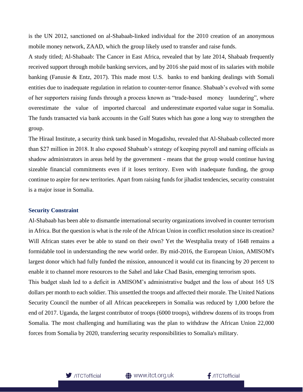is the UN 2012, sanctioned on al-Shabaab-linked individual for the 2010 creation of an anonymous mobile money network, ZAAD, which the group likely used to transfer and raise funds.

A study titled; Al-Shabaab: The Cancer in East Africa, revealed that by late 2014, Shabaab frequently received support through mobile banking services, and by 2016 she paid most of its salaries with mobile banking (Fanusie & Entz, 2017). This made most U.S. banks to end banking dealings with Somali entities due to inadequate regulation in relation to counter-terror finance. Shabaab's evolved with some of her supporters raising funds through a process known as "trade-based money laundering", where overestimate the value of imported charcoal and underestimate exported value sugar in Somalia. The funds transacted via bank accounts in the Gulf States which has gone a long way to strengthen the group.

The Hiraal Institute, a security think tank based in Mogadishu, revealed that Al-Shabaab collected more than \$27 million in 2018. It also exposed Shabaab's strategy of keeping payroll and naming officials as shadow administrators in areas held by the government - means that the group would continue having sizeable financial commitments even if it loses territory. Even with inadequate funding, the group continue to aspire for new territories. Apart from raising funds for jihadist tendencies, security constraint is a major issue in Somalia.

#### **Security Constraint**

Al-Shabaab has been able to dismantle international security organizations involved in counter terrorism in Africa. But the question is what is the role of the African Union in conflict resolution since its creation? Will African states ever be able to stand on their own? Yet the Westphalia treaty of 1648 remains a formidable tool in understanding the new world order. By mid-2016, the European Union, AMISOM's largest donor which had fully funded the mission, announced it would cut its financing by 20 percent to enable it to channel more resources to the Sahel and lake Chad Basin, emerging terrorism spots. This budget slash led to a deficit in AMISOM's administrative budget and the loss of about 165 US dollars per month to each soldier. This unsettled the troops and affected their morale. The United Nations Security Council the number of all African peacekeepers in Somalia was reduced by 1,000 before the end of 2017. Uganda, the largest contributor of troops (6000 troops), withdrew dozens of its troops from Somalia. The most challenging and humiliating was the plan to withdraw the African Union 22,000



forces from Somalia by 2020, transferring security responsibilities to Somalia's military.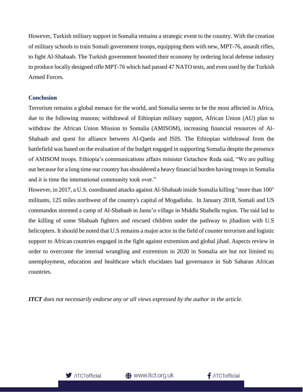However, Turkish military support in Somalia remains a strategic event to the country. With the creation of military schools to train Somali government troops, equipping them with new, MPT-76, assault rifles, to fight Al-Shabaab. The Turkish government boosted their economy by ordering local defense industry to produce locally designed rifle MPT-76 which had passed 47 NATO tests, and even used by the Turkish Armed Forces.

# **Conclusion**

Terrorism remains a global menace for the world, and Somalia seems to be the most affected in Africa, due to the following reasons; withdrawal of Ethiopian military support, African Union (AU) plan to withdraw the African Union Mission to Somalia (AMISOM), increasing financial resources of Al-Shabaab and quest for alliance between Al-Qaeda and ISIS. The Ethiopian withdrawal from the battlefield was based on the evaluation of the budget engaged in supporting Somalia despite the presence of AMISOM troops. Ethiopia's communications affairs minister Getachew Reda said, "We are pulling out because for a long time our country has shouldered a heavy financial burden having troops in Somalia and it is time the international community took over."

However, in 2017, a U.S. coordinated attacks against Al-Shabaab inside Somalia killing "more than 100" militants, 125 miles northwest of the country's capital of Mogadishu. In January 2018, Somali and US commandos stormed a camp of Al-Shabaab in Jame'o village in Middle Shabelle region. The raid led to the killing of some Shabaab fighters and rescued children under the pathway to jihadism with U.S helicopters. It should be noted that U.S remains a major actor in the field of counter terrorism and logistic support to African countries engaged in the fight against extremism and global jihad. Aspects review in order to overcome the internal wrangling and extremism in 2020 in Somalia are but not limited to; unemployment, education and healthcare which elucidates bad governance in Sub Saharan African countries.

*ITCT does not necessarily endorse any or all views expressed by the author in the article.*